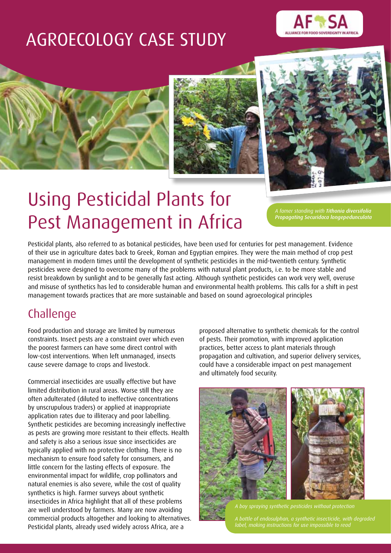## AGROECOLOGY CASE STUDY









# Using Pesticidal Plants for Pest Management in Africa

*A famer standing with Tithonia diversifolia Propagating Securidaca longepedunculata*

Pesticidal plants, also referred to as botanical pesticides, have been used for centuries for pest management. Evidence of their use in agriculture dates back to Greek, Roman and Egyptian empires. They were the main method of crop pest management in modern times until the development of synthetic pesticides in the mid-twentieth century. Synthetic pesticides were designed to overcome many of the problems with natural plant products, i.e. to be more stable and resist breakdown by sunlight and to be generally fast acting. Although synthetic pesticides can work very well, overuse and misuse of synthetics has led to considerable human and environmental health problems. This calls for a shift in pest management towards practices that are more sustainable and based on sound agroecological principles

## Challenge

Food production and storage are limited by numerous constraints. Insect pests are a constraint over which even the poorest farmers can have some direct control with low-cost interventions. When left unmanaged, insects cause severe damage to crops and livestock.

Commercial insecticides are usually effective but have limited distribution in rural areas. Worse still they are often adulterated (diluted to ineffective concentrations by unscrupulous traders) or applied at inappropriate application rates due to illiteracy and poor labelling. Synthetic pesticides are becoming increasingly ineffective as pests are growing more resistant to their effects. Health and safety is also a serious issue since insecticides are typically applied with no protective clothing. There is no mechanism to ensure food safety for consumers, and little concern for the lasting effects of exposure. The environmental impact for wildlife, crop pollinators and natural enemies is also severe, while the cost of quality synthetics is high. Farmer surveys about synthetic insecticides in Africa highlight that all of these problems are well understood by farmers. Many are now avoiding commercial products altogether and looking to alternatives. Pesticidal plants, already used widely across Africa, are a

proposed alternative to synthetic chemicals for the control of pests. Their promotion, with improved application practices, better access to plant materials through propagation and cultivation, and superior delivery services, could have a considerable impact on pest management and ultimately food security.



*A bottle of endosulphan, a synthetic insecticide, with degraded label, making instructions for use impossible to read*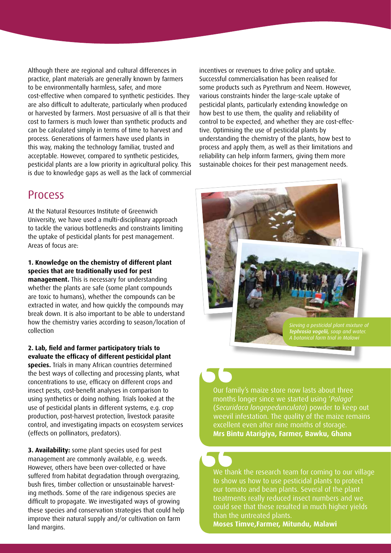Although there are regional and cultural differences in practice, plant materials are generally known by farmers to be environmentally harmless, safer, and more cost-effective when compared to synthetic pesticides. They are also difficult to adulterate, particularly when produced or harvested by farmers. Most persuasive of all is that their cost to farmers is much lower than synthetic products and can be calculated simply in terms of time to harvest and process. Generations of farmers have used plants in this way, making the technology familiar, trusted and acceptable. However, compared to synthetic pesticides, pesticidal plants are a low priority in agricultural policy. This is due to knowledge gaps as well as the lack of commercial

### Process

At the Natural Resources Institute of Greenwich University, we have used a multi-disciplinary approach to tackle the various bottlenecks and constraints limiting the uptake of pesticidal plants for pest management. Areas of focus are:

### **1. Knowledge on the chemistry of different plant species that are traditionally used for pest**

**management.** This is necessary for understanding whether the plants are safe (some plant compounds are toxic to humans), whether the compounds can be extracted in water, and how quickly the compounds may break down. It is also important to be able to understand how the chemistry varies according to season/location of collection

**2. Lab, field and farmer participatory trials to evaluate the efficacy of different pesticidal plant species.** Trials in many African countries determined the best ways of collecting and processing plants, what concentrations to use, efficacy on different crops and insect pests, cost-benefit analyses in comparison to using synthetics or doing nothing. Trials looked at the use of pesticidal plants in different systems, e.g. crop production, post-harvest protection, livestock parasite control, and investigating impacts on ecosystem services (effects on pollinators, predators).

**3. Availability:** some plant species used for pest management are commonly available, e.g. weeds. However, others have been over-collected or have suffered from habitat degradation through overgrazing, bush fires, timber collection or unsustainable harvesting methods. Some of the rare indigenous species are difficult to propagate. We investigated ways of growing these species and conservation strategies that could help improve their natural supply and/or cultivation on farm land margins.

incentives or revenues to drive policy and uptake. Successful commercialisation has been realised for some products such as Pyrethrum and Neem. However, various constraints hinder the large-scale uptake of pesticidal plants, particularly extending knowledge on how best to use them, the quality and reliability of control to be expected, and whether they are cost-effective. Optimising the use of pesticidal plants by understanding the chemistry of the plants, how best to process and apply them, as well as their limitations and reliability can help inform farmers, giving them more sustainable choices for their pest management needs.



*Tephrosia vogelii, soap and water. A botanical farm trial in Malawi*

Our family's maize store now lasts about three months longer since we started using '*Palaga*' (*Securidaca longepedunculata*) powder to keep out weevil infestation. The quality of the maize remains excellent even after nine months of storage. **Mrs Bintu Atarigiya, Farmer, Bawku, Ghana**

We thank the research team for coming to our village to show us how to use pesticidal plants to protect our tomato and bean plants. Several of the plant treatments really reduced insect numbers and we could see that these resulted in much higher yields than the untreated plants.

**Moses Timve,Farmer, Mitundu, Malawi**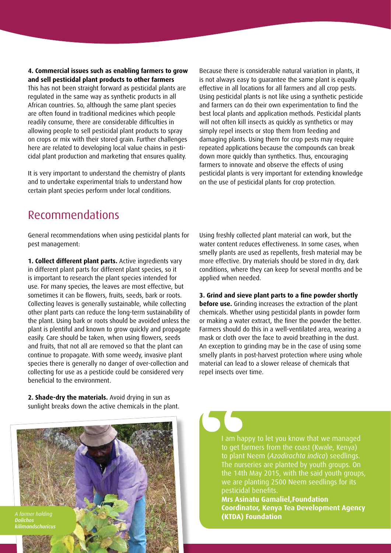### **4. Commercial issues such as enabling farmers to grow and sell pesticidal plant products to other farmers**

This has not been straight forward as pesticidal plants are regulated in the same way as synthetic products in all African countries. So, although the same plant species are often found in traditional medicines which people readily consume, there are considerable difficulties in allowing people to sell pesticidal plant products to spray on crops or mix with their stored grain. Further challenges here are related to developing local value chains in pesticidal plant production and marketing that ensures quality.

It is very important to understand the chemistry of plants and to undertake experimental trials to understand how certain plant species perform under local conditions.

Because there is considerable natural variation in plants, it is not always easy to guarantee the same plant is equally effective in all locations for all farmers and all crop pests. Using pesticidal plants is not like using a synthetic pesticide and farmers can do their own experimentation to find the best local plants and application methods. Pesticidal plants will not often kill insects as quickly as synthetics or may simply repel insects or stop them from feeding and damaging plants. Using them for crop pests may require repeated applications because the compounds can break down more quickly than synthetics. Thus, encouraging farmers to innovate and observe the effects of using pesticidal plants is very important for extending knowledge on the use of pesticidal plants for crop protection.

### Recommendations

General recommendations when using pesticidal plants for pest management:

**1. Collect different plant parts.** Active ingredients vary in different plant parts for different plant species, so it is important to research the plant species intended for use. For many species, the leaves are most effective, but sometimes it can be flowers, fruits, seeds, bark or roots. Collecting leaves is generally sustainable, while collecting other plant parts can reduce the long-term sustainability of the plant. Using bark or roots should be avoided unless the plant is plentiful and known to grow quickly and propagate easily. Care should be taken, when using flowers, seeds and fruits, that not all are removed so that the plant can continue to propagate. With some weedy, invasive plant species there is generally no danger of over-collection and collecting for use as a pesticide could be considered very beneficial to the environment.

Using freshly collected plant material can work, but the water content reduces effectiveness. In some cases, when smelly plants are used as repellents, fresh material may be more effective. Dry materials should be stored in dry, dark conditions, where they can keep for several months and be applied when needed.

### **3. Grind and sieve plant parts to a fine powder shortly**

**before use.** Grinding increases the extraction of the plant chemicals. Whether using pesticidal plants in powder form or making a water extract, the finer the powder the better. Farmers should do this in a well-ventilated area, wearing a mask or cloth over the face to avoid breathing in the dust. An exception to grinding may be in the case of using some smelly plants in post-harvest protection where using whole material can lead to a slower release of chemicals that repel insects over time.

**2. Shade-dry the materials.** Avoid drying in sun as sunlight breaks down the active chemicals in the plant.

*Dolichos kilimandschuricus*

I am happy to let you know that we managed to get farmers from the coast (Kwale, Kenya) to plant Neem (*Azadirachta indica*) seedlings. The nurseries are planted by youth groups. On the 14th May 2015, with the said youth groups, we are planting 2500 Neem seedlings for its pesticidal benefits.

**Mrs Asinatu Gamaliel,Foundation Coordinator, Kenya Tea Development Agency (KTDA) Foundation**